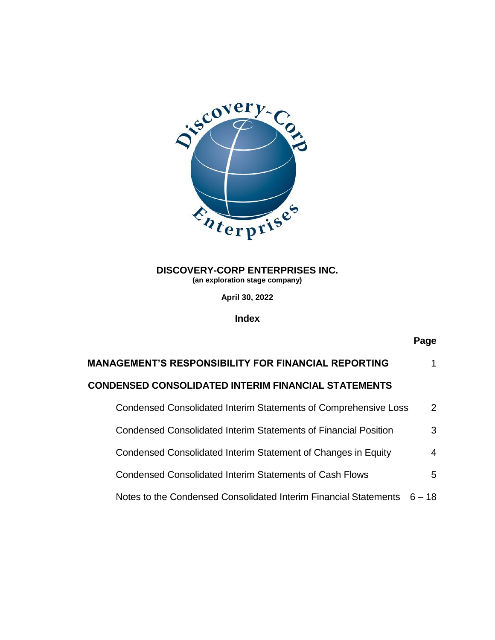

**April 30, 2022**

**Index**

# **Page**

| <b>MANAGEMENT'S RESPONSIBILITY FOR FINANCIAL REPORTING</b>             |          |
|------------------------------------------------------------------------|----------|
| <b>CONDENSED CONSOLIDATED INTERIM FINANCIAL STATEMENTS</b>             |          |
| Condensed Consolidated Interim Statements of Comprehensive Loss        | 2        |
| <b>Condensed Consolidated Interim Statements of Financial Position</b> | 3        |
| Condensed Consolidated Interim Statement of Changes in Equity          | 4        |
| <b>Condensed Consolidated Interim Statements of Cash Flows</b>         | 5        |
| Notes to the Condensed Consolidated Interim Financial Statements       | $6 - 18$ |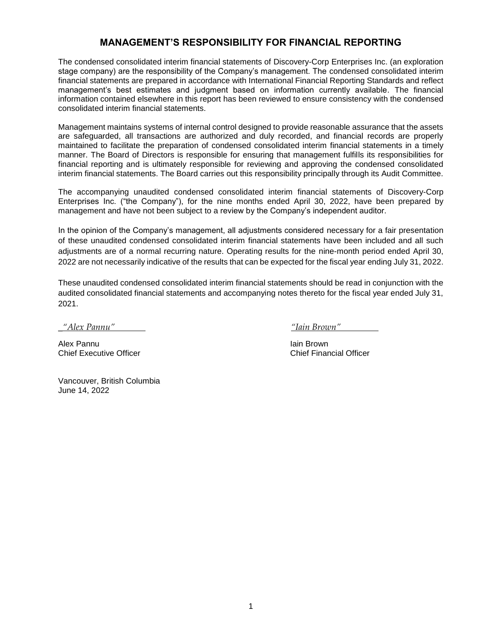## **MANAGEMENT'S RESPONSIBILITY FOR FINANCIAL REPORTING**

The condensed consolidated interim financial statements of Discovery-Corp Enterprises Inc. (an exploration stage company) are the responsibility of the Company's management. The condensed consolidated interim financial statements are prepared in accordance with International Financial Reporting Standards and reflect management's best estimates and judgment based on information currently available. The financial information contained elsewhere in this report has been reviewed to ensure consistency with the condensed consolidated interim financial statements.

Management maintains systems of internal control designed to provide reasonable assurance that the assets are safeguarded, all transactions are authorized and duly recorded, and financial records are properly maintained to facilitate the preparation of condensed consolidated interim financial statements in a timely manner. The Board of Directors is responsible for ensuring that management fulfills its responsibilities for financial reporting and is ultimately responsible for reviewing and approving the condensed consolidated interim financial statements. The Board carries out this responsibility principally through its Audit Committee.

The accompanying unaudited condensed consolidated interim financial statements of Discovery-Corp Enterprises Inc. ("the Company"), for the nine months ended April 30, 2022, have been prepared by management and have not been subject to a review by the Company's independent auditor.

In the opinion of the Company's management, all adjustments considered necessary for a fair presentation of these unaudited condensed consolidated interim financial statements have been included and all such adjustments are of a normal recurring nature. Operating results for the nine-month period ended April 30, 2022 are not necessarily indicative of the results that can be expected for the fiscal year ending July 31, 2022.

These unaudited condensed consolidated interim financial statements should be read in conjunction with the audited consolidated financial statements and accompanying notes thereto for the fiscal year ended July 31, 2021.

*\_"Alex Pannu" "Iain Brown"* 

Alex Pannu<br>Chief Executive Officer **Alex Executive Officer**<br>Chief Executive Officer Chief Executive Officer

Vancouver, British Columbia June 14, 2022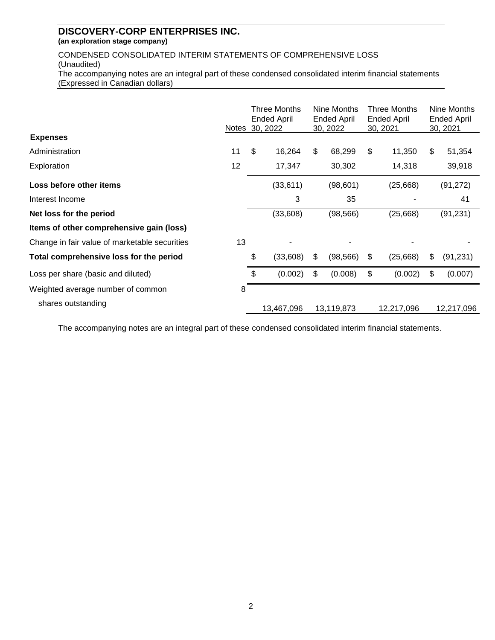# **DISCOVERY-CORP ENTERPRISES INC.**

**(an exploration stage company)**

CONDENSED CONSOLIDATED INTERIM STATEMENTS OF COMPREHENSIVE LOSS (Unaudited) The accompanying notes are an integral part of these condensed consolidated interim financial statements (Expressed in Canadian dollars)

|                                               | <b>Notes</b> | Three Months<br><b>Ended April</b><br>30, 2022 | Nine Months<br><b>Ended April</b><br>30, 2022 |                           | Three Months<br>Ended April<br>30, 2021 | Nine Months<br><b>Ended April</b><br>30, 2021 |
|-----------------------------------------------|--------------|------------------------------------------------|-----------------------------------------------|---------------------------|-----------------------------------------|-----------------------------------------------|
| <b>Expenses</b>                               |              |                                                |                                               |                           |                                         |                                               |
| Administration                                | 11           | \$<br>16,264                                   | \$<br>68,299                                  | $\boldsymbol{\mathsf{S}}$ | 11,350                                  | \$<br>51,354                                  |
| Exploration                                   | 12           | 17,347                                         | 30,302                                        |                           | 14,318                                  | 39,918                                        |
| Loss before other items                       |              | (33, 611)                                      | (98, 601)                                     |                           | (25,668)                                | (91, 272)                                     |
| Interest Income                               |              | 3                                              | 35                                            |                           |                                         | 41                                            |
| Net loss for the period                       |              | (33,608)                                       | (98, 566)                                     |                           | (25,668)                                | (91, 231)                                     |
| Items of other comprehensive gain (loss)      |              |                                                |                                               |                           |                                         |                                               |
| Change in fair value of marketable securities | 13           |                                                |                                               |                           |                                         |                                               |
| Total comprehensive loss for the period       |              | \$<br>(33, 608)                                | \$<br>(98, 566)                               | \$                        | (25, 668)                               | \$<br>(91, 231)                               |
| Loss per share (basic and diluted)            |              | \$<br>(0.002)                                  | \$<br>(0.008)                                 | \$                        | (0.002)                                 | \$<br>(0.007)                                 |
| Weighted average number of common             | 8            |                                                |                                               |                           |                                         |                                               |
| shares outstanding                            |              | 13,467,096                                     | 13,119,873                                    |                           | 12,217,096                              | 12,217,096                                    |

The accompanying notes are an integral part of these condensed consolidated interim financial statements.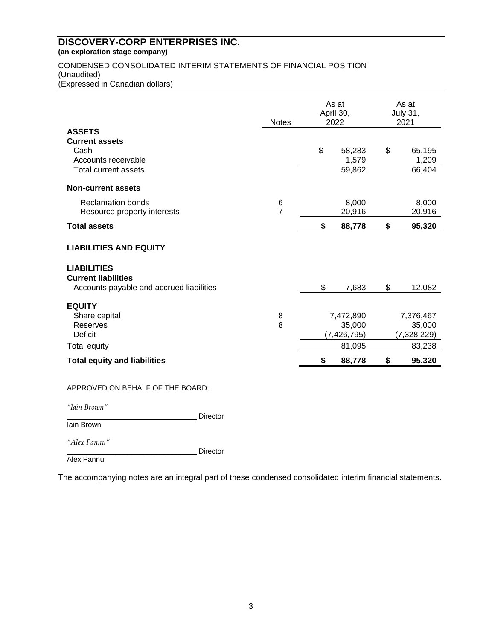## CONDENSED CONSOLIDATED INTERIM STATEMENTS OF FINANCIAL POSITION (Unaudited)

(Expressed in Canadian dollars)

|                                                                                              | <b>Notes</b>        | As at<br>April 30,<br>2022           | As at<br><b>July 31,</b><br>2021   |
|----------------------------------------------------------------------------------------------|---------------------|--------------------------------------|------------------------------------|
| <b>ASSETS</b><br><b>Current assets</b><br>Cash<br>Accounts receivable                        |                     | \$<br>58,283<br>1,579                | \$<br>65,195<br>1,209              |
| <b>Total current assets</b>                                                                  |                     | 59,862                               | 66,404                             |
| <b>Non-current assets</b>                                                                    |                     |                                      |                                    |
| <b>Reclamation bonds</b><br>Resource property interests                                      | 6<br>$\overline{7}$ | 8,000<br>20,916                      | 8,000<br>20,916                    |
| <b>Total assets</b>                                                                          |                     | \$<br>88,778                         | \$<br>95,320                       |
| <b>LIABILITIES AND EQUITY</b>                                                                |                     |                                      |                                    |
| <b>LIABILITIES</b><br><b>Current liabilities</b><br>Accounts payable and accrued liabilities |                     | \$<br>7,683                          | \$<br>12,082                       |
| <b>EQUITY</b>                                                                                |                     |                                      |                                    |
| Share capital<br>Reserves<br><b>Deficit</b>                                                  | 8<br>8              | 7,472,890<br>35,000<br>(7, 426, 795) | 7,376,467<br>35,000<br>(7,328,229) |
| <b>Total equity</b>                                                                          |                     | 81,095                               | 83,238                             |
| <b>Total equity and liabilities</b>                                                          |                     | \$<br>88,778                         | \$<br>95,320                       |
| APPROVED ON BEHALF OF THE BOARD:                                                             |                     |                                      |                                    |

*"Iain Brown"*

Director

Iain Brown

*"Alex Pannu"*

Director

Alex Pannu

The accompanying notes are an integral part of these condensed consolidated interim financial statements.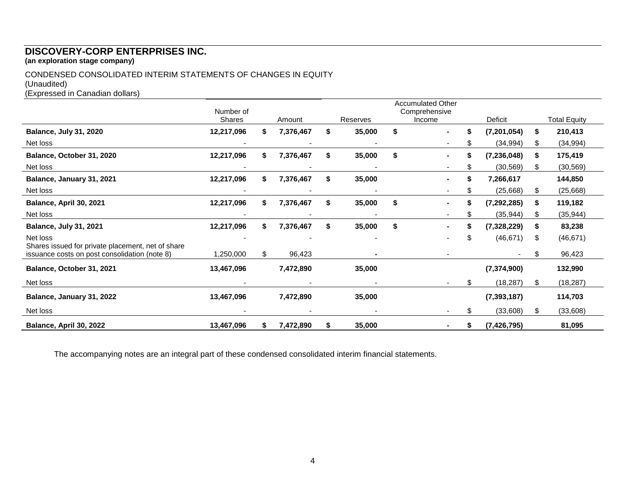# **DISCOVERY-CORP ENTERPRISES INC.**

**(an exploration stage company)**

## CONDENSED CONSOLIDATED INTERIM STATEMENTS OF CHANGES IN EQUITY

#### (Unaudited)

(Expressed in Canadian dollars)

|                                                                                                    | Number of<br><b>Shares</b> |    | Amount    |    | Reserves | <b>Accumulated Other</b><br>Comprehensive<br>Income | Deficit       |    | <b>Total Equity</b> |
|----------------------------------------------------------------------------------------------------|----------------------------|----|-----------|----|----------|-----------------------------------------------------|---------------|----|---------------------|
| <b>Balance, July 31, 2020</b>                                                                      | 12,217,096                 | S  | 7,376,467 | S  | 35,000   | \$<br>\$                                            | (7, 201, 054) | \$ | 210,413             |
| Net loss                                                                                           |                            |    |           |    |          |                                                     | (34, 994)     | \$ | (34, 994)           |
| Balance, October 31, 2020                                                                          | 12,217,096                 | S  | 7,376,467 | S  | 35,000   | \$<br>\$                                            | (7, 236, 048) | \$ | 175,419             |
| Net loss                                                                                           |                            |    |           |    |          |                                                     | (30, 569)     | S. | (30, 569)           |
| Balance, January 31, 2021                                                                          | 12,217,096                 | S  | 7,376,467 | S  | 35,000   | \$                                                  | 7,266,617     |    | 144,850             |
| Net loss                                                                                           |                            |    |           |    |          |                                                     | (25,668)      | \$ | (25, 668)           |
| Balance, April 30, 2021                                                                            | 12,217,096                 | S  | 7,376,467 | \$ | 35,000   | \$                                                  | (7, 292, 285) | \$ | 119,182             |
| Net loss                                                                                           |                            |    |           |    |          |                                                     | (35, 944)     | \$ | (35, 944)           |
| <b>Balance, July 31, 2021</b>                                                                      | 12,217,096                 |    | 7,376,467 | S  | 35,000   | \$                                                  | (7,328,229)   | \$ | 83,238              |
| Net loss                                                                                           |                            |    |           |    |          | \$                                                  | (46, 671)     | \$ | (46, 671)           |
| Shares issued for private placement, net of share<br>issuance costs on post consolidation (note 8) | 1,250,000                  | \$ | 96,423    |    |          |                                                     |               | \$ | 96,423              |
| Balance, October 31, 2021                                                                          | 13,467,096                 |    | 7,472,890 |    | 35,000   |                                                     | (7, 374, 900) |    | 132,990             |
| Net loss                                                                                           |                            |    |           |    |          |                                                     | (18, 287)     | \$ | (18, 287)           |
| Balance, January 31, 2022                                                                          | 13,467,096                 |    | 7,472,890 |    | 35,000   |                                                     | (7, 393, 187) |    | 114,703             |
| Net loss                                                                                           |                            |    |           |    |          | \$                                                  | (33,608)      | \$ | (33,608)            |
| Balance, April 30, 2022                                                                            | 13,467,096                 | S. | 7,472,890 | S  | 35,000   |                                                     | (7, 426, 795) |    | 81,095              |

The accompanying notes are an integral part of these condensed consolidated interim financial statements.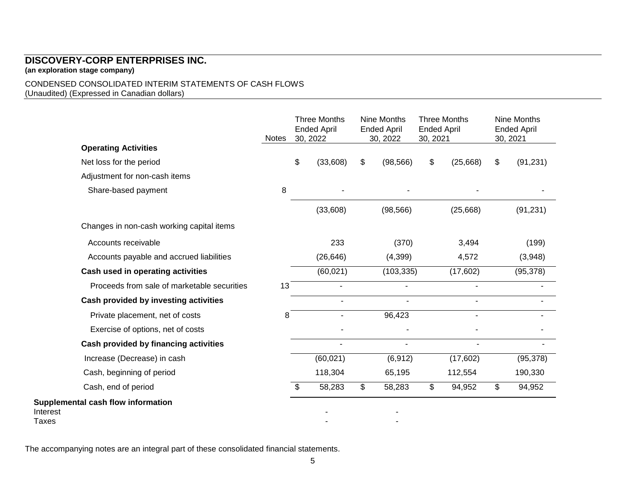## CONDENSED CONSOLIDATED INTERIM STATEMENTS OF CASH FLOWS (Unaudited) (Expressed in Canadian dollars)

|                   |                                             | <b>Notes</b> | <b>Three Months</b><br><b>Ended April</b><br>30, 2022 | Nine Months<br><b>Ended April</b><br>30, 2022 | <b>Ended April</b><br>30, 2021 | <b>Three Months</b> | Nine Months<br><b>Ended April</b><br>30, 2021 |
|-------------------|---------------------------------------------|--------------|-------------------------------------------------------|-----------------------------------------------|--------------------------------|---------------------|-----------------------------------------------|
|                   | <b>Operating Activities</b>                 |              |                                                       |                                               |                                |                     |                                               |
|                   | Net loss for the period                     |              | \$<br>(33,608)                                        | \$<br>(98, 566)                               | \$                             | (25,668)            | \$<br>(91, 231)                               |
|                   | Adjustment for non-cash items               |              |                                                       |                                               |                                |                     |                                               |
|                   | Share-based payment                         | 8            |                                                       |                                               |                                |                     |                                               |
|                   |                                             |              | (33,608)                                              | (98, 566)                                     |                                | (25, 668)           | (91, 231)                                     |
|                   | Changes in non-cash working capital items   |              |                                                       |                                               |                                |                     |                                               |
|                   | Accounts receivable                         |              | 233                                                   | (370)                                         |                                | 3,494               | (199)                                         |
|                   | Accounts payable and accrued liabilities    |              | (26, 646)                                             | (4,399)                                       |                                | 4,572               | (3,948)                                       |
|                   | Cash used in operating activities           |              | (60, 021)                                             | (103, 335)                                    |                                | (17,602)            | (95, 378)                                     |
|                   | Proceeds from sale of marketable securities | 13           |                                                       |                                               |                                |                     |                                               |
|                   | Cash provided by investing activities       |              |                                                       |                                               |                                |                     |                                               |
|                   | Private placement, net of costs             | 8            | $\blacksquare$                                        | 96,423                                        |                                | $\blacksquare$      |                                               |
|                   | Exercise of options, net of costs           |              |                                                       |                                               |                                |                     |                                               |
|                   | Cash provided by financing activities       |              |                                                       | $\blacksquare$                                |                                |                     |                                               |
|                   | Increase (Decrease) in cash                 |              | (60, 021)                                             | (6, 912)                                      |                                | (17,602)            | (95, 378)                                     |
|                   | Cash, beginning of period                   |              | 118,304                                               | 65,195                                        |                                | 112,554             | 190,330                                       |
|                   | Cash, end of period                         |              | \$<br>58,283                                          | \$<br>58,283                                  | \$                             | 94,952              | \$<br>94,952                                  |
| Interest<br>Taxes | Supplemental cash flow information          |              |                                                       |                                               |                                |                     |                                               |

The accompanying notes are an integral part of these consolidated financial statements.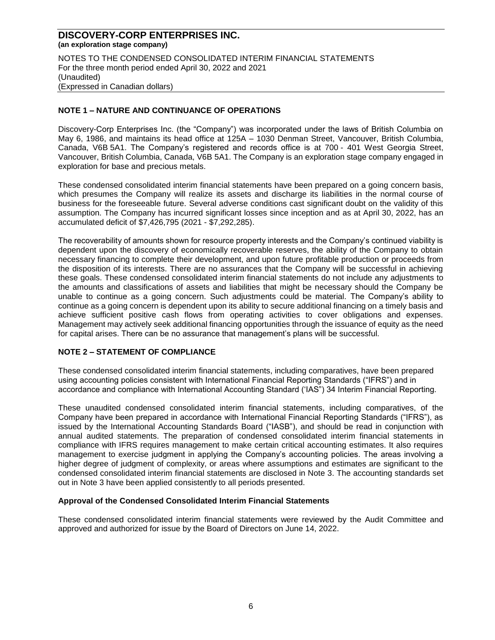NOTES TO THE CONDENSED CONSOLIDATED INTERIM FINANCIAL STATEMENTS For the three month period ended April 30, 2022 and 2021 (Unaudited) (Expressed in Canadian dollars)

## **NOTE 1 – NATURE AND CONTINUANCE OF OPERATIONS**

Discovery-Corp Enterprises Inc. (the "Company") was incorporated under the laws of British Columbia on May 6, 1986, and maintains its head office at 125A – 1030 Denman Street, Vancouver, British Columbia, Canada, V6B 5A1. The Company's registered and records office is at 700 - 401 West Georgia Street, Vancouver, British Columbia, Canada, V6B 5A1. The Company is an exploration stage company engaged in exploration for base and precious metals.

These condensed consolidated interim financial statements have been prepared on a going concern basis, which presumes the Company will realize its assets and discharge its liabilities in the normal course of business for the foreseeable future. Several adverse conditions cast significant doubt on the validity of this assumption. The Company has incurred significant losses since inception and as at April 30, 2022, has an accumulated deficit of \$7,426,795 (2021 - \$7,292,285).

The recoverability of amounts shown for resource property interests and the Company's continued viability is dependent upon the discovery of economically recoverable reserves, the ability of the Company to obtain necessary financing to complete their development, and upon future profitable production or proceeds from the disposition of its interests. There are no assurances that the Company will be successful in achieving these goals. These condensed consolidated interim financial statements do not include any adjustments to the amounts and classifications of assets and liabilities that might be necessary should the Company be unable to continue as a going concern. Such adjustments could be material. The Company's ability to continue as a going concern is dependent upon its ability to secure additional financing on a timely basis and achieve sufficient positive cash flows from operating activities to cover obligations and expenses. Management may actively seek additional financing opportunities through the issuance of equity as the need for capital arises. There can be no assurance that management's plans will be successful.

## **NOTE 2 – STATEMENT OF COMPLIANCE**

These condensed consolidated interim financial statements, including comparatives, have been prepared using accounting policies consistent with International Financial Reporting Standards ("IFRS") and in accordance and compliance with International Accounting Standard ('IAS") 34 Interim Financial Reporting.

These unaudited condensed consolidated interim financial statements, including comparatives, of the Company have been prepared in accordance with International Financial Reporting Standards ("IFRS"), as issued by the International Accounting Standards Board ("IASB"), and should be read in conjunction with annual audited statements. The preparation of condensed consolidated interim financial statements in compliance with IFRS requires management to make certain critical accounting estimates. It also requires management to exercise judgment in applying the Company's accounting policies. The areas involving a higher degree of judgment of complexity, or areas where assumptions and estimates are significant to the condensed consolidated interim financial statements are disclosed in Note 3. The accounting standards set out in Note 3 have been applied consistently to all periods presented.

#### **Approval of the Condensed Consolidated Interim Financial Statements**

These condensed consolidated interim financial statements were reviewed by the Audit Committee and approved and authorized for issue by the Board of Directors on June 14, 2022.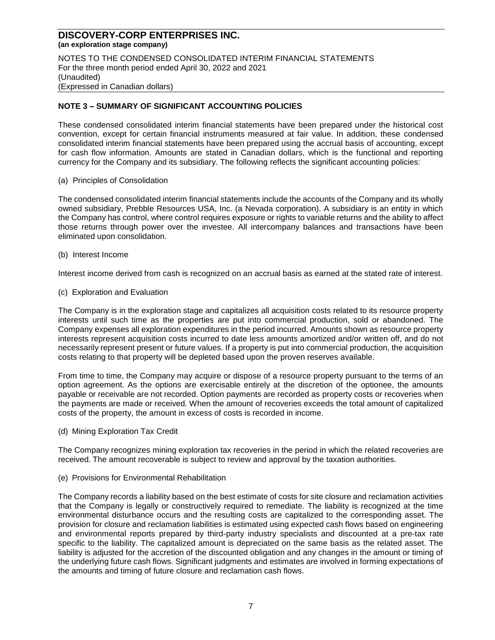NOTES TO THE CONDENSED CONSOLIDATED INTERIM FINANCIAL STATEMENTS For the three month period ended April 30, 2022 and 2021 (Unaudited) (Expressed in Canadian dollars)

## **NOTE 3 – SUMMARY OF SIGNIFICANT ACCOUNTING POLICIES**

These condensed consolidated interim financial statements have been prepared under the historical cost convention, except for certain financial instruments measured at fair value. In addition, these condensed consolidated interim financial statements have been prepared using the accrual basis of accounting, except for cash flow information. Amounts are stated in Canadian dollars, which is the functional and reporting currency for the Company and its subsidiary. The following reflects the significant accounting policies:

#### (a) Principles of Consolidation

The condensed consolidated interim financial statements include the accounts of the Company and its wholly owned subsidiary, Prebble Resources USA, Inc. (a Nevada corporation). A subsidiary is an entity in which the Company has control, where control requires exposure or rights to variable returns and the ability to affect those returns through power over the investee. All intercompany balances and transactions have been eliminated upon consolidation.

(b) Interest Income

Interest income derived from cash is recognized on an accrual basis as earned at the stated rate of interest.

(c) Exploration and Evaluation

The Company is in the exploration stage and capitalizes all acquisition costs related to its resource property interests until such time as the properties are put into commercial production, sold or abandoned. The Company expenses all exploration expenditures in the period incurred. Amounts shown as resource property interests represent acquisition costs incurred to date less amounts amortized and/or written off, and do not necessarily represent present or future values. If a property is put into commercial production, the acquisition costs relating to that property will be depleted based upon the proven reserves available.

From time to time, the Company may acquire or dispose of a resource property pursuant to the terms of an option agreement. As the options are exercisable entirely at the discretion of the optionee, the amounts payable or receivable are not recorded. Option payments are recorded as property costs or recoveries when the payments are made or received. When the amount of recoveries exceeds the total amount of capitalized costs of the property, the amount in excess of costs is recorded in income.

(d) Mining Exploration Tax Credit

The Company recognizes mining exploration tax recoveries in the period in which the related recoveries are received. The amount recoverable is subject to review and approval by the taxation authorities.

(e) Provisions for Environmental Rehabilitation

The Company records a liability based on the best estimate of costs for site closure and reclamation activities that the Company is legally or constructively required to remediate. The liability is recognized at the time environmental disturbance occurs and the resulting costs are capitalized to the corresponding asset. The provision for closure and reclamation liabilities is estimated using expected cash flows based on engineering and environmental reports prepared by third-party industry specialists and discounted at a pre-tax rate specific to the liability. The capitalized amount is depreciated on the same basis as the related asset. The liability is adjusted for the accretion of the discounted obligation and any changes in the amount or timing of the underlying future cash flows. Significant judgments and estimates are involved in forming expectations of the amounts and timing of future closure and reclamation cash flows.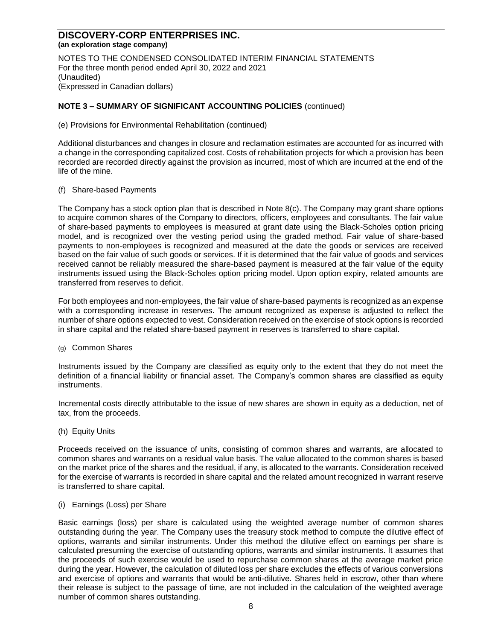NOTES TO THE CONDENSED CONSOLIDATED INTERIM FINANCIAL STATEMENTS For the three month period ended April 30, 2022 and 2021 (Unaudited) (Expressed in Canadian dollars)

## **NOTE 3 – SUMMARY OF SIGNIFICANT ACCOUNTING POLICIES** (continued)

(e) Provisions for Environmental Rehabilitation (continued)

Additional disturbances and changes in closure and reclamation estimates are accounted for as incurred with a change in the corresponding capitalized cost. Costs of rehabilitation projects for which a provision has been recorded are recorded directly against the provision as incurred, most of which are incurred at the end of the life of the mine.

#### (f) Share-based Payments

The Company has a stock option plan that is described in Note 8(c). The Company may grant share options to acquire common shares of the Company to directors, officers, employees and consultants. The fair value of share-based payments to employees is measured at grant date using the Black-Scholes option pricing model, and is recognized over the vesting period using the graded method. Fair value of share-based payments to non-employees is recognized and measured at the date the goods or services are received based on the fair value of such goods or services. If it is determined that the fair value of goods and services received cannot be reliably measured the share-based payment is measured at the fair value of the equity instruments issued using the Black-Scholes option pricing model. Upon option expiry, related amounts are transferred from reserves to deficit.

For both employees and non-employees, the fair value of share-based payments is recognized as an expense with a corresponding increase in reserves. The amount recognized as expense is adjusted to reflect the number of share options expected to vest. Consideration received on the exercise of stock options is recorded in share capital and the related share-based payment in reserves is transferred to share capital.

(g) Common Shares

Instruments issued by the Company are classified as equity only to the extent that they do not meet the definition of a financial liability or financial asset. The Company's common shares are classified as equity instruments.

Incremental costs directly attributable to the issue of new shares are shown in equity as a deduction, net of tax, from the proceeds.

(h) Equity Units

Proceeds received on the issuance of units, consisting of common shares and warrants, are allocated to common shares and warrants on a residual value basis. The value allocated to the common shares is based on the market price of the shares and the residual, if any, is allocated to the warrants. Consideration received for the exercise of warrants is recorded in share capital and the related amount recognized in warrant reserve is transferred to share capital.

#### (i) Earnings (Loss) per Share

Basic earnings (loss) per share is calculated using the weighted average number of common shares outstanding during the year. The Company uses the treasury stock method to compute the dilutive effect of options, warrants and similar instruments. Under this method the dilutive effect on earnings per share is calculated presuming the exercise of outstanding options, warrants and similar instruments. It assumes that the proceeds of such exercise would be used to repurchase common shares at the average market price during the year. However, the calculation of diluted loss per share excludes the effects of various conversions and exercise of options and warrants that would be anti-dilutive. Shares held in escrow, other than where their release is subject to the passage of time, are not included in the calculation of the weighted average number of common shares outstanding.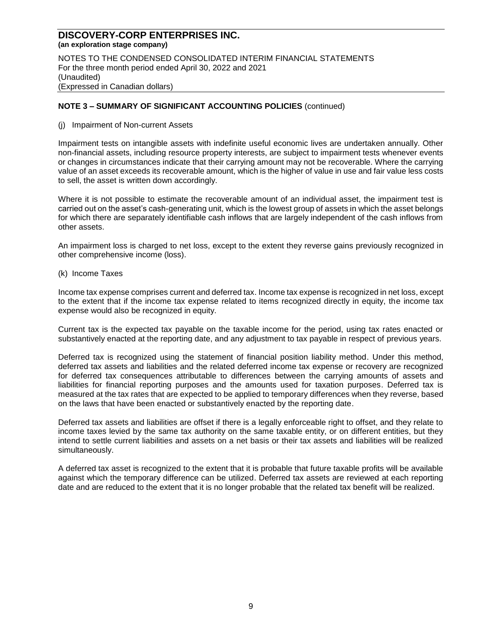NOTES TO THE CONDENSED CONSOLIDATED INTERIM FINANCIAL STATEMENTS For the three month period ended April 30, 2022 and 2021 (Unaudited) (Expressed in Canadian dollars)

#### **NOTE 3 – SUMMARY OF SIGNIFICANT ACCOUNTING POLICIES** (continued)

(j) Impairment of Non-current Assets

Impairment tests on intangible assets with indefinite useful economic lives are undertaken annually. Other non-financial assets, including resource property interests, are subject to impairment tests whenever events or changes in circumstances indicate that their carrying amount may not be recoverable. Where the carrying value of an asset exceeds its recoverable amount, which is the higher of value in use and fair value less costs to sell, the asset is written down accordingly.

Where it is not possible to estimate the recoverable amount of an individual asset, the impairment test is carried out on the asset's cash-generating unit, which is the lowest group of assets in which the asset belongs for which there are separately identifiable cash inflows that are largely independent of the cash inflows from other assets.

An impairment loss is charged to net loss, except to the extent they reverse gains previously recognized in other comprehensive income (loss).

(k) Income Taxes

Income tax expense comprises current and deferred tax. Income tax expense is recognized in net loss, except to the extent that if the income tax expense related to items recognized directly in equity, the income tax expense would also be recognized in equity.

Current tax is the expected tax payable on the taxable income for the period, using tax rates enacted or substantively enacted at the reporting date, and any adjustment to tax payable in respect of previous years.

Deferred tax is recognized using the statement of financial position liability method. Under this method, deferred tax assets and liabilities and the related deferred income tax expense or recovery are recognized for deferred tax consequences attributable to differences between the carrying amounts of assets and liabilities for financial reporting purposes and the amounts used for taxation purposes. Deferred tax is measured at the tax rates that are expected to be applied to temporary differences when they reverse, based on the laws that have been enacted or substantively enacted by the reporting date.

Deferred tax assets and liabilities are offset if there is a legally enforceable right to offset, and they relate to income taxes levied by the same tax authority on the same taxable entity, or on different entities, but they intend to settle current liabilities and assets on a net basis or their tax assets and liabilities will be realized simultaneously.

A deferred tax asset is recognized to the extent that it is probable that future taxable profits will be available against which the temporary difference can be utilized. Deferred tax assets are reviewed at each reporting date and are reduced to the extent that it is no longer probable that the related tax benefit will be realized.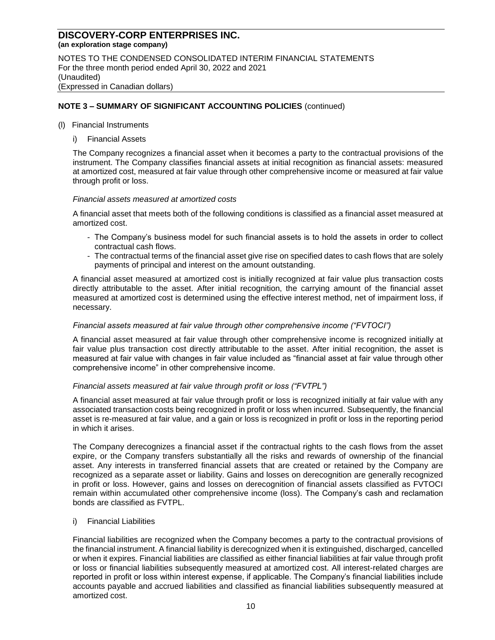NOTES TO THE CONDENSED CONSOLIDATED INTERIM FINANCIAL STATEMENTS For the three month period ended April 30, 2022 and 2021 (Unaudited) (Expressed in Canadian dollars)

## **NOTE 3 – SUMMARY OF SIGNIFICANT ACCOUNTING POLICIES** (continued)

- (l) Financial Instruments
	- i) Financial Assets

The Company recognizes a financial asset when it becomes a party to the contractual provisions of the instrument. The Company classifies financial assets at initial recognition as financial assets: measured at amortized cost, measured at fair value through other comprehensive income or measured at fair value through profit or loss.

#### *Financial assets measured at amortized costs*

A financial asset that meets both of the following conditions is classified as a financial asset measured at amortized cost.

- The Company's business model for such financial assets is to hold the assets in order to collect contractual cash flows.
- The contractual terms of the financial asset give rise on specified dates to cash flows that are solely payments of principal and interest on the amount outstanding.

A financial asset measured at amortized cost is initially recognized at fair value plus transaction costs directly attributable to the asset. After initial recognition, the carrying amount of the financial asset measured at amortized cost is determined using the effective interest method, net of impairment loss, if necessary.

#### *Financial assets measured at fair value through other comprehensive income ("FVTOCI")*

A financial asset measured at fair value through other comprehensive income is recognized initially at fair value plus transaction cost directly attributable to the asset. After initial recognition, the asset is measured at fair value with changes in fair value included as "financial asset at fair value through other comprehensive income" in other comprehensive income.

#### *Financial assets measured at fair value through profit or loss ("FVTPL")*

A financial asset measured at fair value through profit or loss is recognized initially at fair value with any associated transaction costs being recognized in profit or loss when incurred. Subsequently, the financial asset is re-measured at fair value, and a gain or loss is recognized in profit or loss in the reporting period in which it arises.

The Company derecognizes a financial asset if the contractual rights to the cash flows from the asset expire, or the Company transfers substantially all the risks and rewards of ownership of the financial asset. Any interests in transferred financial assets that are created or retained by the Company are recognized as a separate asset or liability. Gains and losses on derecognition are generally recognized in profit or loss. However, gains and losses on derecognition of financial assets classified as FVTOCI remain within accumulated other comprehensive income (loss). The Company's cash and reclamation bonds are classified as FVTPL.

i) Financial Liabilities

Financial liabilities are recognized when the Company becomes a party to the contractual provisions of the financial instrument. A financial liability is derecognized when it is extinguished, discharged, cancelled or when it expires. Financial liabilities are classified as either financial liabilities at fair value through profit or loss or financial liabilities subsequently measured at amortized cost. All interest-related charges are reported in profit or loss within interest expense, if applicable. The Company's financial liabilities include accounts payable and accrued liabilities and classified as financial liabilities subsequently measured at amortized cost.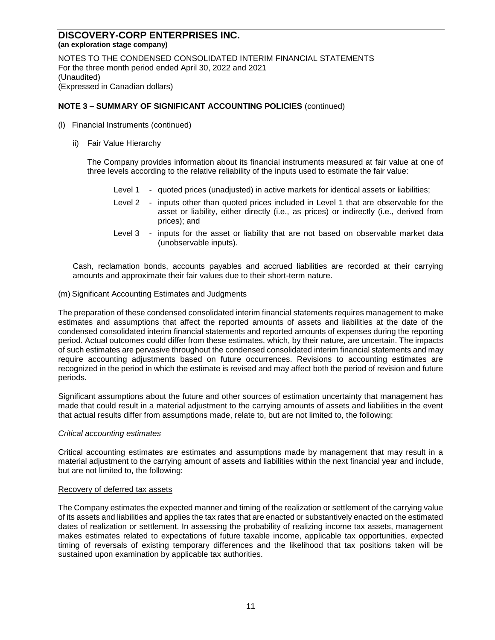NOTES TO THE CONDENSED CONSOLIDATED INTERIM FINANCIAL STATEMENTS For the three month period ended April 30, 2022 and 2021 (Unaudited) (Expressed in Canadian dollars)

## **NOTE 3 – SUMMARY OF SIGNIFICANT ACCOUNTING POLICIES** (continued)

- (l) Financial Instruments (continued)
	- ii) Fair Value Hierarchy

The Company provides information about its financial instruments measured at fair value at one of three levels according to the relative reliability of the inputs used to estimate the fair value:

- Level 1 quoted prices (unadjusted) in active markets for identical assets or liabilities;
- Level 2 inputs other than quoted prices included in Level 1 that are observable for the asset or liability, either directly (i.e., as prices) or indirectly (i.e., derived from prices); and
- Level 3 inputs for the asset or liability that are not based on observable market data (unobservable inputs).

Cash, reclamation bonds, accounts payables and accrued liabilities are recorded at their carrying amounts and approximate their fair values due to their short-term nature.

(m) Significant Accounting Estimates and Judgments

The preparation of these condensed consolidated interim financial statements requires management to make estimates and assumptions that affect the reported amounts of assets and liabilities at the date of the condensed consolidated interim financial statements and reported amounts of expenses during the reporting period. Actual outcomes could differ from these estimates, which, by their nature, are uncertain. The impacts of such estimates are pervasive throughout the condensed consolidated interim financial statements and may require accounting adjustments based on future occurrences. Revisions to accounting estimates are recognized in the period in which the estimate is revised and may affect both the period of revision and future periods.

Significant assumptions about the future and other sources of estimation uncertainty that management has made that could result in a material adjustment to the carrying amounts of assets and liabilities in the event that actual results differ from assumptions made, relate to, but are not limited to, the following:

#### *Critical accounting estimates*

Critical accounting estimates are estimates and assumptions made by management that may result in a material adjustment to the carrying amount of assets and liabilities within the next financial year and include, but are not limited to, the following:

#### Recovery of deferred tax assets

The Company estimates the expected manner and timing of the realization or settlement of the carrying value of its assets and liabilities and applies the tax rates that are enacted or substantively enacted on the estimated dates of realization or settlement. In assessing the probability of realizing income tax assets, management makes estimates related to expectations of future taxable income, applicable tax opportunities, expected timing of reversals of existing temporary differences and the likelihood that tax positions taken will be sustained upon examination by applicable tax authorities.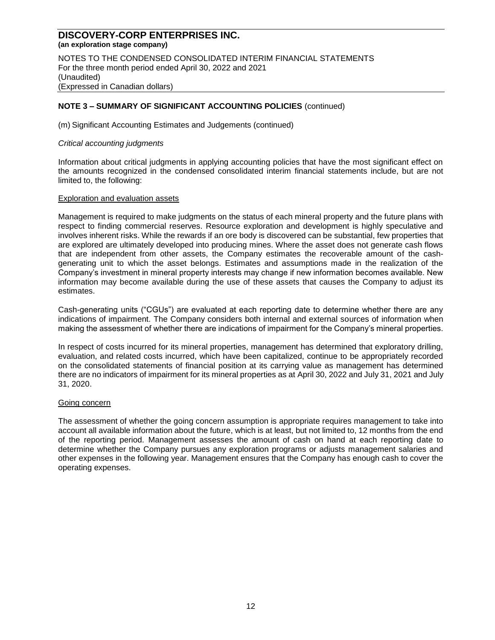NOTES TO THE CONDENSED CONSOLIDATED INTERIM FINANCIAL STATEMENTS For the three month period ended April 30, 2022 and 2021 (Unaudited) (Expressed in Canadian dollars)

## **NOTE 3 – SUMMARY OF SIGNIFICANT ACCOUNTING POLICIES** (continued)

(m) Significant Accounting Estimates and Judgements (continued)

#### *Critical accounting judgments*

Information about critical judgments in applying accounting policies that have the most significant effect on the amounts recognized in the condensed consolidated interim financial statements include, but are not limited to, the following:

#### Exploration and evaluation assets

Management is required to make judgments on the status of each mineral property and the future plans with respect to finding commercial reserves. Resource exploration and development is highly speculative and involves inherent risks. While the rewards if an ore body is discovered can be substantial, few properties that are explored are ultimately developed into producing mines. Where the asset does not generate cash flows that are independent from other assets, the Company estimates the recoverable amount of the cashgenerating unit to which the asset belongs. Estimates and assumptions made in the realization of the Company's investment in mineral property interests may change if new information becomes available. New information may become available during the use of these assets that causes the Company to adjust its estimates.

Cash-generating units ("CGUs") are evaluated at each reporting date to determine whether there are any indications of impairment. The Company considers both internal and external sources of information when making the assessment of whether there are indications of impairment for the Company's mineral properties.

In respect of costs incurred for its mineral properties, management has determined that exploratory drilling, evaluation, and related costs incurred, which have been capitalized, continue to be appropriately recorded on the consolidated statements of financial position at its carrying value as management has determined there are no indicators of impairment for its mineral properties as at April 30, 2022 and July 31, 2021 and July 31, 2020.

#### Going concern

The assessment of whether the going concern assumption is appropriate requires management to take into account all available information about the future, which is at least, but not limited to, 12 months from the end of the reporting period. Management assesses the amount of cash on hand at each reporting date to determine whether the Company pursues any exploration programs or adjusts management salaries and other expenses in the following year. Management ensures that the Company has enough cash to cover the operating expenses.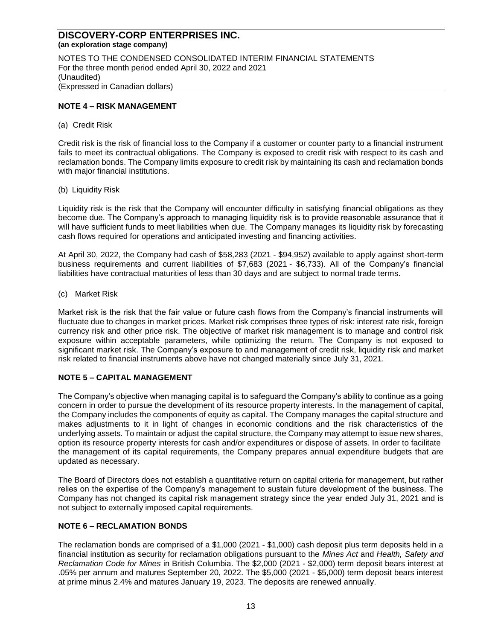NOTES TO THE CONDENSED CONSOLIDATED INTERIM FINANCIAL STATEMENTS For the three month period ended April 30, 2022 and 2021 (Unaudited) (Expressed in Canadian dollars)

## **NOTE 4 – RISK MANAGEMENT**

(a) Credit Risk

Credit risk is the risk of financial loss to the Company if a customer or counter party to a financial instrument fails to meet its contractual obligations. The Company is exposed to credit risk with respect to its cash and reclamation bonds. The Company limits exposure to credit risk by maintaining its cash and reclamation bonds with major financial institutions.

(b) Liquidity Risk

Liquidity risk is the risk that the Company will encounter difficulty in satisfying financial obligations as they become due. The Company's approach to managing liquidity risk is to provide reasonable assurance that it will have sufficient funds to meet liabilities when due. The Company manages its liquidity risk by forecasting cash flows required for operations and anticipated investing and financing activities.

At April 30, 2022, the Company had cash of \$58,283 (2021 - \$94,952) available to apply against short-term business requirements and current liabilities of \$7,683 (2021 - \$6,733). All of the Company's financial liabilities have contractual maturities of less than 30 days and are subject to normal trade terms.

(c) Market Risk

Market risk is the risk that the fair value or future cash flows from the Company's financial instruments will fluctuate due to changes in market prices. Market risk comprises three types of risk: interest rate risk, foreign currency risk and other price risk. The objective of market risk management is to manage and control risk exposure within acceptable parameters, while optimizing the return. The Company is not exposed to significant market risk. The Company's exposure to and management of credit risk, liquidity risk and market risk related to financial instruments above have not changed materially since July 31, 2021.

## **NOTE 5 – CAPITAL MANAGEMENT**

The Company's objective when managing capital is to safeguard the Company's ability to continue as a going concern in order to pursue the development of its resource property interests. In the management of capital, the Company includes the components of equity as capital. The Company manages the capital structure and makes adjustments to it in light of changes in economic conditions and the risk characteristics of the underlying assets. To maintain or adjust the capital structure, the Company may attempt to issue new shares, option its resource property interests for cash and/or expenditures or dispose of assets. In order to facilitate the management of its capital requirements, the Company prepares annual expenditure budgets that are updated as necessary.

The Board of Directors does not establish a quantitative return on capital criteria for management, but rather relies on the expertise of the Company's management to sustain future development of the business. The Company has not changed its capital risk management strategy since the year ended July 31, 2021 and is not subject to externally imposed capital requirements.

## **NOTE 6 – RECLAMATION BONDS**

The reclamation bonds are comprised of a \$1,000 (2021 - \$1,000) cash deposit plus term deposits held in a financial institution as security for reclamation obligations pursuant to the *Mines Act* and *Health, Safety and Reclamation Code for Mines* in British Columbia. The \$2,000 (2021 - \$2,000) term deposit bears interest at .05% per annum and matures September 20, 2022. The \$5,000 (2021 - \$5,000) term deposit bears interest at prime minus 2.4% and matures January 19, 2023. The deposits are renewed annually.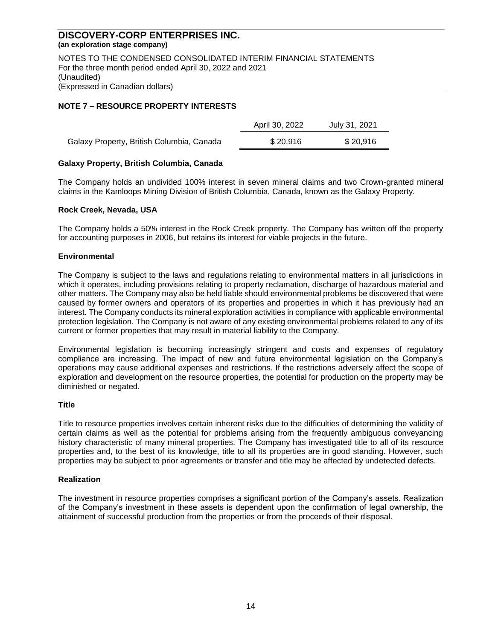NOTES TO THE CONDENSED CONSOLIDATED INTERIM FINANCIAL STATEMENTS For the three month period ended April 30, 2022 and 2021 (Unaudited) (Expressed in Canadian dollars)

#### **NOTE 7 – RESOURCE PROPERTY INTERESTS**

|                                           | April 30, 2022 | July 31, 2021 |
|-------------------------------------------|----------------|---------------|
| Galaxy Property, British Columbia, Canada | \$20.916       | \$20.916      |

#### **Galaxy Property, British Columbia, Canada**

The Company holds an undivided 100% interest in seven mineral claims and two Crown-granted mineral claims in the Kamloops Mining Division of British Columbia, Canada, known as the Galaxy Property.

#### **Rock Creek, Nevada, USA**

The Company holds a 50% interest in the Rock Creek property. The Company has written off the property for accounting purposes in 2006, but retains its interest for viable projects in the future.

#### **Environmental**

The Company is subject to the laws and regulations relating to environmental matters in all jurisdictions in which it operates, including provisions relating to property reclamation, discharge of hazardous material and other matters. The Company may also be held liable should environmental problems be discovered that were caused by former owners and operators of its properties and properties in which it has previously had an interest. The Company conducts its mineral exploration activities in compliance with applicable environmental protection legislation. The Company is not aware of any existing environmental problems related to any of its current or former properties that may result in material liability to the Company.

Environmental legislation is becoming increasingly stringent and costs and expenses of regulatory compliance are increasing. The impact of new and future environmental legislation on the Company's operations may cause additional expenses and restrictions. If the restrictions adversely affect the scope of exploration and development on the resource properties, the potential for production on the property may be diminished or negated.

#### **Title**

Title to resource properties involves certain inherent risks due to the difficulties of determining the validity of certain claims as well as the potential for problems arising from the frequently ambiguous conveyancing history characteristic of many mineral properties. The Company has investigated title to all of its resource properties and, to the best of its knowledge, title to all its properties are in good standing. However, such properties may be subject to prior agreements or transfer and title may be affected by undetected defects.

#### **Realization**

The investment in resource properties comprises a significant portion of the Company's assets. Realization of the Company's investment in these assets is dependent upon the confirmation of legal ownership, the attainment of successful production from the properties or from the proceeds of their disposal.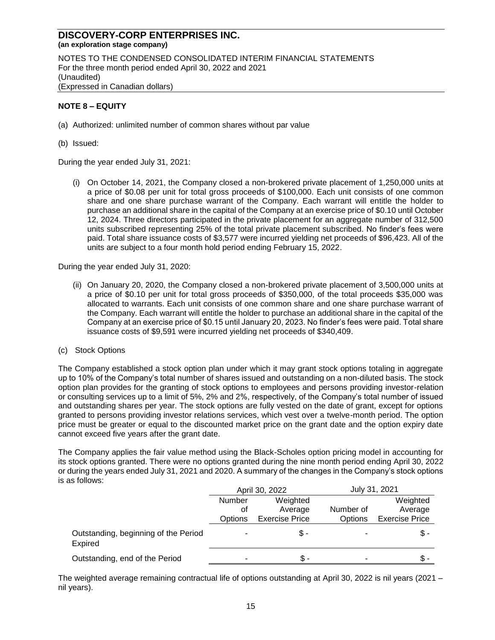NOTES TO THE CONDENSED CONSOLIDATED INTERIM FINANCIAL STATEMENTS For the three month period ended April 30, 2022 and 2021 (Unaudited) (Expressed in Canadian dollars)

#### **NOTE 8 – EQUITY**

- (a) Authorized: unlimited number of common shares without par value
- (b) Issued:

During the year ended July 31, 2021:

(i) On October 14, 2021, the Company closed a non-brokered private placement of 1,250,000 units at a price of \$0.08 per unit for total gross proceeds of \$100,000. Each unit consists of one common share and one share purchase warrant of the Company. Each warrant will entitle the holder to purchase an additional share in the capital of the Company at an exercise price of \$0.10 until October 12, 2024. Three directors participated in the private placement for an aggregate number of 312,500 units subscribed representing 25% of the total private placement subscribed. No finder's fees were paid. Total share issuance costs of \$3,577 were incurred yielding net proceeds of \$96,423. All of the units are subject to a four month hold period ending February 15, 2022.

During the year ended July 31, 2020:

- (ii) On January 20, 2020, the Company closed a non-brokered private placement of 3,500,000 units at a price of \$0.10 per unit for total gross proceeds of \$350,000, of the total proceeds \$35,000 was allocated to warrants. Each unit consists of one common share and one share purchase warrant of the Company. Each warrant will entitle the holder to purchase an additional share in the capital of the Company at an exercise price of \$0.15 until January 20, 2023. No finder's fees were paid. Total share issuance costs of \$9,591 were incurred yielding net proceeds of \$340,409.
- (c) Stock Options

The Company established a stock option plan under which it may grant stock options totaling in aggregate up to 10% of the Company's total number of shares issued and outstanding on a non-diluted basis. The stock option plan provides for the granting of stock options to employees and persons providing investor-relation or consulting services up to a limit of 5%, 2% and 2%, respectively, of the Company's total number of issued and outstanding shares per year. The stock options are fully vested on the date of grant, except for options granted to persons providing investor relations services, which vest over a twelve-month period. The option price must be greater or equal to the discounted market price on the grant date and the option expiry date cannot exceed five years after the grant date.

The Company applies the fair value method using the Black-Scholes option pricing model in accounting for its stock options granted. There were no options granted during the nine month period ending April 30, 2022 or during the years ended July 31, 2021 and 2020. A summary of the changes in the Company's stock options is as follows:

|                                                 |         | April 30, 2022        | July 31, 2021  |                       |  |
|-------------------------------------------------|---------|-----------------------|----------------|-----------------------|--|
|                                                 | Number  | Weighted              |                | Weighted              |  |
|                                                 | οt      | Average               | Number of      | Average               |  |
|                                                 | Options | <b>Exercise Price</b> | <b>Options</b> | <b>Exercise Price</b> |  |
| Outstanding, beginning of the Period<br>Expired |         | Տ.-                   |                | Տ.-                   |  |
| Outstanding, end of the Period                  |         | Տ.-                   | ۰              | Տ.-                   |  |

The weighted average remaining contractual life of options outstanding at April 30, 2022 is nil years (2021 – nil years).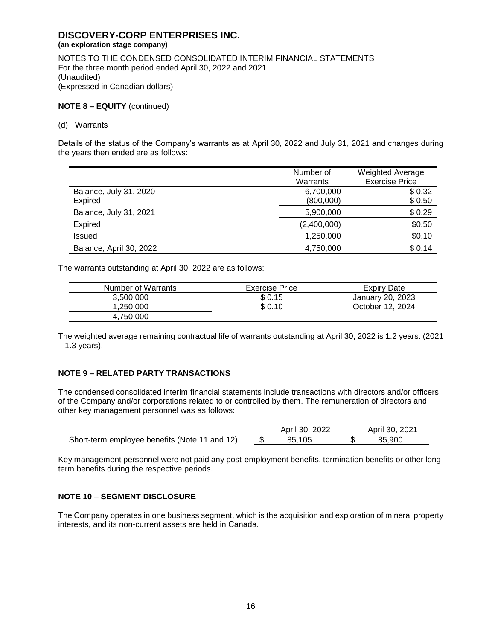NOTES TO THE CONDENSED CONSOLIDATED INTERIM FINANCIAL STATEMENTS For the three month period ended April 30, 2022 and 2021 (Unaudited) (Expressed in Canadian dollars)

#### **NOTE 8 – EQUITY** (continued)

#### (d) Warrants

Details of the status of the Company's warrants as at April 30, 2022 and July 31, 2021 and changes during the years then ended are as follows:

|                         | Number of   | <b>Weighted Average</b> |
|-------------------------|-------------|-------------------------|
|                         | Warrants    | <b>Exercise Price</b>   |
| Balance, July 31, 2020  | 6,700,000   | \$0.32                  |
| <b>Expired</b>          | (800,000)   | \$0.50                  |
| Balance, July 31, 2021  | 5,900,000   | \$0.29                  |
| <b>Expired</b>          | (2,400,000) | \$0.50                  |
| <b>Issued</b>           | 1,250,000   | \$0.10                  |
| Balance, April 30, 2022 | 4,750,000   | \$0.14                  |

The warrants outstanding at April 30, 2022 are as follows:

| Number of Warrants | Exercise Price | Expiry Date      |
|--------------------|----------------|------------------|
| 3.500.000          | \$ 0.15        | January 20, 2023 |
| 1.250.000          | \$0.10         | October 12, 2024 |
| 4,750,000          |                |                  |

The weighted average remaining contractual life of warrants outstanding at April 30, 2022 is 1.2 years. (2021  $-1.3$  years).

## **NOTE 9 – RELATED PARTY TRANSACTIONS**

The condensed consolidated interim financial statements include transactions with directors and/or officers of the Company and/or corporations related to or controlled by them. The remuneration of directors and other key management personnel was as follows:

| Short-term employee benefits (Note 11 and 12) | 85.105 | 85,900 |
|-----------------------------------------------|--------|--------|

| April 30, 2022 |   | April 30, 2021 |
|----------------|---|----------------|
| 85.105         | S | 85.900         |

Key management personnel were not paid any post-employment benefits, termination benefits or other longterm benefits during the respective periods.

#### **NOTE 10 – SEGMENT DISCLOSURE**

The Company operates in one business segment, which is the acquisition and exploration of mineral property interests, and its non-current assets are held in Canada.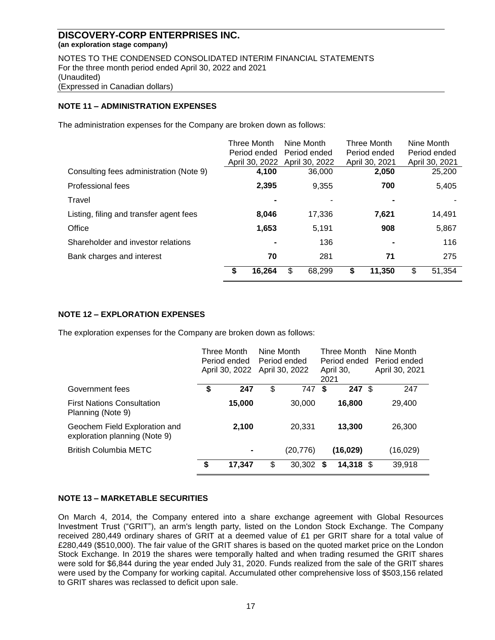NOTES TO THE CONDENSED CONSOLIDATED INTERIM FINANCIAL STATEMENTS For the three month period ended April 30, 2022 and 2021 (Unaudited) (Expressed in Canadian dollars)

## **NOTE 11 – ADMINISTRATION EXPENSES**

The administration expenses for the Company are broken down as follows:

|                                         | Three Month    | Nine Month     | <b>Three Month</b> | Nine Month     |
|-----------------------------------------|----------------|----------------|--------------------|----------------|
|                                         | Period ended   | Period ended   | Period ended       | Period ended   |
|                                         | April 30, 2022 | April 30, 2022 | April 30, 2021     | April 30, 2021 |
| Consulting fees administration (Note 9) | 4,100          | 36,000         | 2,050              | 25,200         |
| <b>Professional fees</b>                | 2,395          | 9,355          | 700                | 5,405          |
| Travel                                  |                |                |                    |                |
| Listing, filing and transfer agent fees | 8,046          | 17,336         | 7,621              | 14,491         |
| Office                                  | 1,653          | 5,191          | 908                | 5,867          |
| Shareholder and investor relations      | $\blacksquare$ | 136            |                    | 116            |
| Bank charges and interest               | 70             | 281            | 71                 | 275            |
|                                         | 16,264<br>S.   | \$<br>68,299   | \$<br>11,350       | \$<br>51,354   |

## **NOTE 12 – EXPLORATION EXPENSES**

The exploration expenses for the Company are broken down as follows:

|                                                                | Three Month<br>Period ended<br>April 30, 2022 |                | Nine Month<br>Period ended<br>April 30, 2022 |          | <b>Three Month</b><br>Period ended<br>April 30,<br>2021 |                   | Nine Month<br>Period ended<br>April 30, 2021 |
|----------------------------------------------------------------|-----------------------------------------------|----------------|----------------------------------------------|----------|---------------------------------------------------------|-------------------|----------------------------------------------|
| Government fees                                                | \$                                            | 247            | \$                                           | 747      | \$                                                      | $247 \text{ }$ \$ | 247                                          |
| <b>First Nations Consultation</b><br>Planning (Note 9)         |                                               | 15,000         |                                              | 30,000   |                                                         | 16,800            | 29,400                                       |
| Geochem Field Exploration and<br>exploration planning (Note 9) |                                               | 2,100          |                                              | 20,331   |                                                         | 13,300            | 26,300                                       |
| <b>British Columbia METC</b>                                   |                                               | $\blacksquare$ |                                              | (20,776) |                                                         | (16, 029)         | (16,029)                                     |
|                                                                | \$                                            | 17,347         | \$                                           | 30,302   | S                                                       | $14,318$ \$       | 39,918                                       |

#### **NOTE 13 – MARKETABLE SECURITIES**

On March 4, 2014, the Company entered into a share exchange agreement with Global Resources Investment Trust ("GRIT"), an arm's length party, listed on the London Stock Exchange. The Company received 280,449 ordinary shares of GRIT at a deemed value of £1 per GRIT share for a total value of £280,449 (\$510,000). The fair value of the GRIT shares is based on the quoted market price on the London Stock Exchange. In 2019 the shares were temporally halted and when trading resumed the GRIT shares were sold for \$6,844 during the year ended July 31, 2020. Funds realized from the sale of the GRIT shares were used by the Company for working capital. Accumulated other comprehensive loss of \$503,156 related to GRIT shares was reclassed to deficit upon sale.